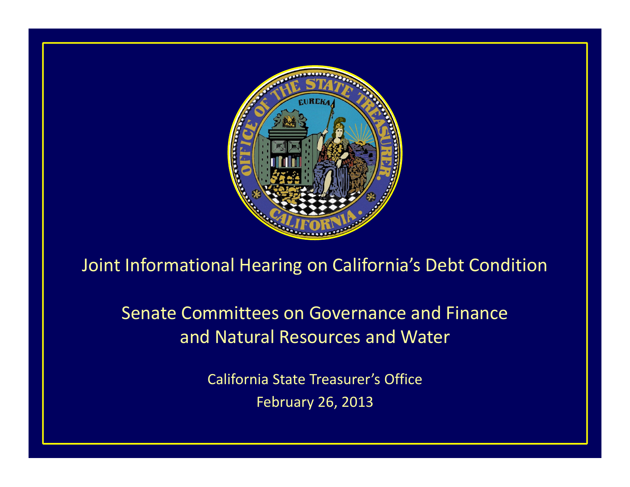

## Joint Informational Hearing on California's Debt Condition

Senate Committees on Governance and Finance and Natural Resources and Water

> California State Treasurer's Office February 26, 2013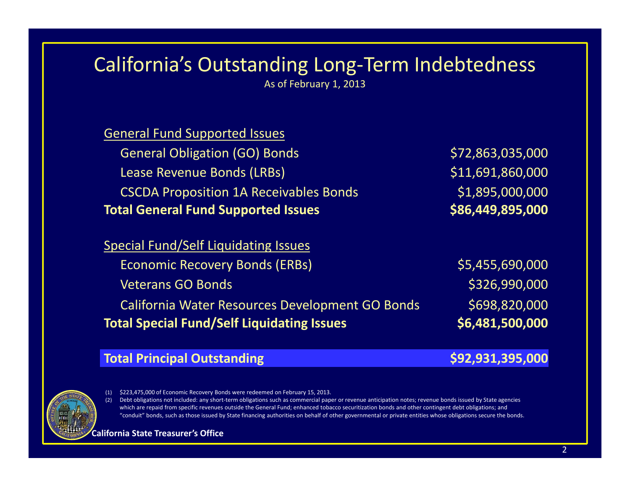## California's Outstanding Long‐Term Indebtedness

As of February 1, 2013

| <b>General Fund Supported Issues</b>          |                  |
|-----------------------------------------------|------------------|
| <b>General Obligation (GO) Bonds</b>          | \$72,863,035,000 |
| Lease Revenue Bonds (LRBs)                    | \$11,691,860,000 |
| <b>CSCDA Proposition 1A Receivables Bonds</b> | \$1,895,000,000  |
| <b>Total General Fund Supported Issues</b>    | \$86,449,895,000 |
| <b>Special Fund/Self Liquidating Issues</b>   |                  |
| <b>Economic Recovery Bonds (ERBs)</b>         | \$5,455,690,000  |

Veterans GOCalifornia Water Resources Development GO Bonds \$698,820,000 **Total Special Fund/Self Liquidating Issues \$6,481,500,000**

# \$326,990,000

#### **Total Principal Outstanding \$92,931,395,000**

(1) \$223,475,000 of Economic Recovery Bonds were redeemed on February 15, 2013.

(2) Debt obligations not included: any short‐term obligations such as commercial paper or revenue anticipation notes; revenue bonds issued by State agencies which are repaid from specific revenues outside the General Fund; enhanced tobacco securitization bonds and other contingent debt obligations; and "conduit" bonds, such as those issued by State financing authorities on behalf of other governmental or private entities whose obligations secure the bonds.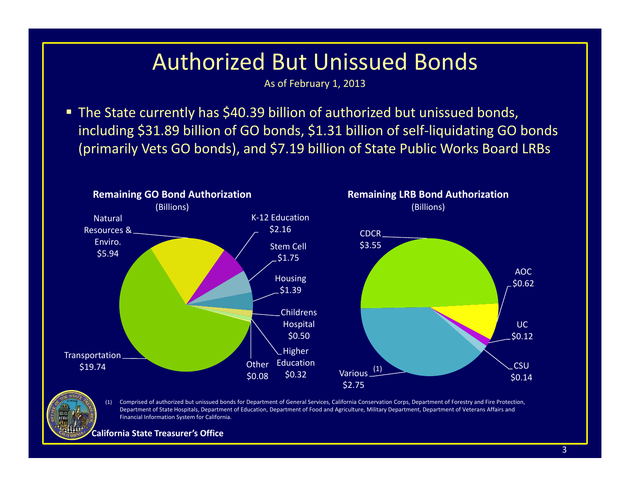## Authorized But Unissued Bonds

As of February 1, 2013

 The State currently has \$40.39 billion of authorized but unissued bonds, including \$31.89 billion of GO bonds, \$1.31 billion of self‐liquidating GO bonds (primarily Vets GO bonds), and \$7.19 billion of State Public Works Board LRBs



(1) Comprised of authorized but unissued bonds for Department of General Services, California Conservation Corps, Department of Forestry and Fire Protection, Department of State Hospitals, Department of Education, Department of Food and Agriculture, Military Department, Department of Veterans Affairs and Financial Information System for California.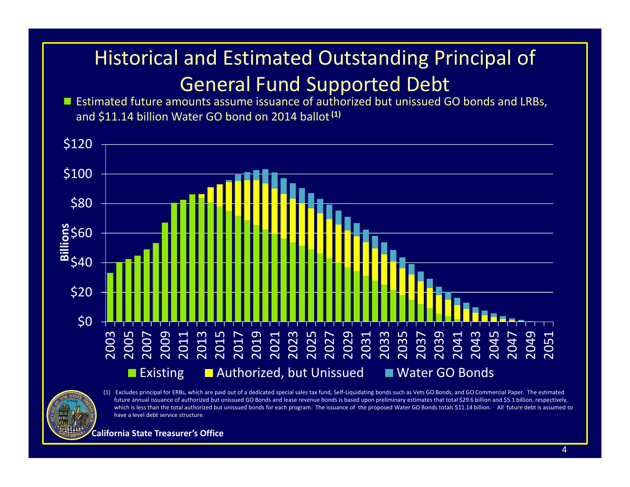## Historical and Estimated Outstanding Principal of General Fund Supported Debt

■ Estimated future amounts assume issuance of authorized but unissued GO bonds and LRBs, and \$11.14 billion Water GO bond on 2014 ballot**(1)**



future annual issuance of authorized but unissued GO Bonds and lease revenue bonds is based upon preliminary estimates that total \$29.6 billion and \$5.1 billion, respectively, which is less than the total authorized but unissued bonds for each program. The issuance of the proposed Water GO Bonds totals \$11.14 billion. All future debt is assumed to have <sup>a</sup> level debt service structure.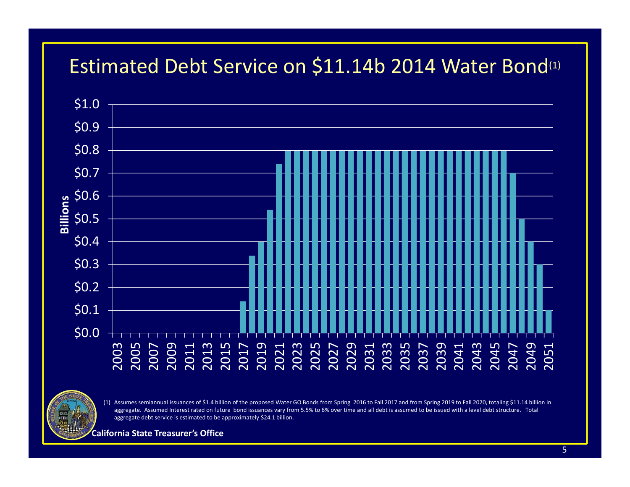## Estimated Debt Service on \$11.14b 2014 Water Bond(1)



(1) Assumes semiannual issuances of \$1.4 billion of the proposed Water GO Bonds from Spring 2016 to Fall 2017 and from Spring 2019 to Fall 2020, totaling \$11.14 billion in aggregate. Assumed Interest rated on future bond issuances vary from 5.5% to 6% over time and all debt is assumed to be issued with <sup>a</sup> level debt structure. Total aggregate debt service is estimated to be approximately \$24.1 billion.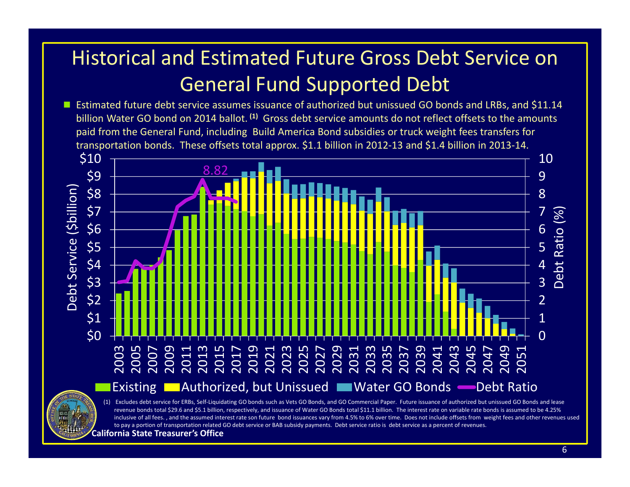## Historical and Estimated Future Gross Debt Service on General Fund Supported Debt

■ Estimated future debt service assumes issuance of authorized but unissued GO bonds and LRBs, and \$11.14 billion Water GO bond on 2014 ballot. **(1)** Gross debt service amounts do not reflect offsets to the amounts paid from the General Fund, including Build America Bond subsidies or truck weight fees transfers for transportation bonds. These offsets total approx. \$1.1 billion in 2012‐13 and \$1.4 billion in 2013‐14.

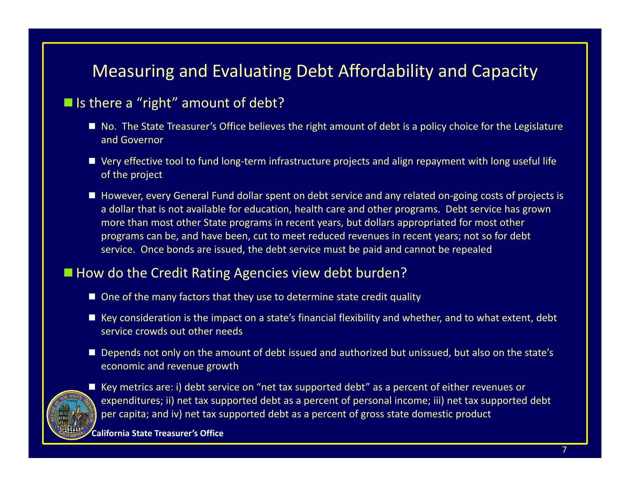## Measuring and Evaluating Debt Affordability and Capacity

### ■ Is there a "right" amount of debt?

- No. The State Treasurer's Office believes the right amount of debt is a policy choice for the Legislature and Governor
- Very effective tool to fund long-term infrastructure projects and align repayment with long useful life of the project
- However, every General Fund dollar spent on debt service and any related on-going costs of projects is a dollar that is not available for education, health care and other programs. Debt service has grown more than most other State programs in recent years, but dollars appropriated for most other programs can be, and have been, cut to meet reduced revenues in recent years; not so for debt service. Once bonds are issued, the debt service must be paid and cannot be repealed

#### ■ How do the Credit Rating Agencies view debt burden?

- One of the many factors that they use to determine state credit quality
- Key consideration is the impact on a state's financial flexibility and whether, and to what extent, debt service crowds out other needs
- Depends not only on the amount of debt issued and authorized but unissued, but also on the state's economic and revenue growth



■ Key metrics are: i) debt service on "net tax supported debt" as a percent of either revenues or expenditures; ii) net tax supported debt as <sup>a</sup> percent of personal income; iii) net tax supported debt per capita; and iv) net tax supported debt as <sup>a</sup> percent of gross state domestic product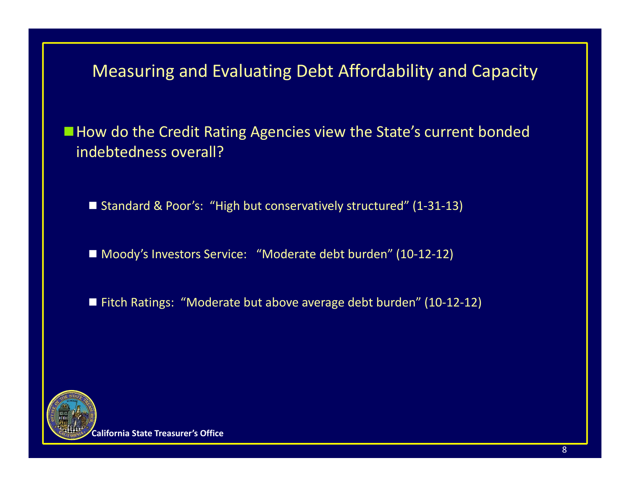Measuring and Evaluating Debt Affordability and Capacity

**How do the Credit Rating Agencies view the State's current bonded** indebtedness overall?

■ Standard & Poor's: "High but conservatively structured" (1-31-13)

■ Moody's Investors Service: "Moderate debt burden" (10-12-12)

■ Fitch Ratings: "Moderate but above average debt burden" (10-12-12)

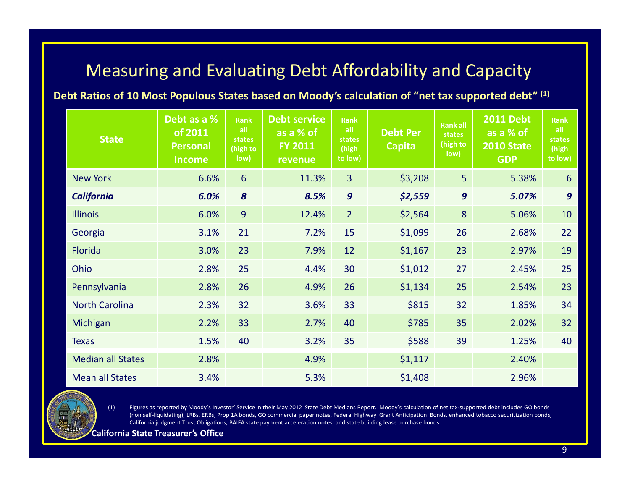## Measuring and Evaluating Debt Affordability and Capacity

**Debt Ratios of 10 Most Populous States based on Moody's calculation of "net tax supported debt" (1)**

| <b>State</b>             | Debt as a %<br>of 2011<br><b>Personal</b><br><b>Income</b> | <b>Rank</b><br>all<br>states<br>(high to<br>low) | <b>Debt service</b><br>as a % of<br><b>FY 2011</b><br>revenue | <b>Rank</b><br>all<br>states<br>(high<br>to low) | <b>Debt Per</b><br><b>Capita</b> | <b>Rankall</b><br>states<br>(high to<br>low) | <b>2011 Debt</b><br>as a % of<br><b>2010 State</b><br><b>GDP</b> | <b>Rank</b><br>all<br>states<br>(high<br>to low) |
|--------------------------|------------------------------------------------------------|--------------------------------------------------|---------------------------------------------------------------|--------------------------------------------------|----------------------------------|----------------------------------------------|------------------------------------------------------------------|--------------------------------------------------|
| <b>New York</b>          | 6.6%                                                       | $6\overline{6}$                                  | 11.3%                                                         | $\overline{3}$                                   | \$3,208                          | 5                                            | 5.38%                                                            | 6                                                |
| <b>California</b>        | 6.0%                                                       | $\boldsymbol{8}$                                 | 8.5%                                                          | $\boldsymbol{9}$                                 | \$2,559                          | $\boldsymbol{g}$                             | 5.07%                                                            | $\boldsymbol{g}$                                 |
| <b>Illinois</b>          | 6.0%                                                       | 9                                                | 12.4%                                                         | $\overline{2}$                                   | \$2,564                          | 8                                            | 5.06%                                                            | 10                                               |
| Georgia                  | 3.1%                                                       | 21                                               | 7.2%                                                          | 15                                               | \$1,099                          | 26                                           | 2.68%                                                            | 22                                               |
| Florida                  | 3.0%                                                       | 23                                               | 7.9%                                                          | 12                                               | \$1,167                          | 23                                           | 2.97%                                                            | 19                                               |
| Ohio                     | 2.8%                                                       | 25                                               | 4.4%                                                          | 30                                               | \$1,012                          | 27                                           | 2.45%                                                            | 25                                               |
| Pennsylvania             | 2.8%                                                       | 26                                               | 4.9%                                                          | 26                                               | \$1,134                          | 25                                           | 2.54%                                                            | 23                                               |
| <b>North Carolina</b>    | 2.3%                                                       | 32                                               | 3.6%                                                          | 33                                               | \$815                            | 32                                           | 1.85%                                                            | 34                                               |
| Michigan                 | 2.2%                                                       | 33                                               | 2.7%                                                          | 40                                               | \$785                            | 35                                           | 2.02%                                                            | 32                                               |
| <b>Texas</b>             | 1.5%                                                       | 40                                               | 3.2%                                                          | 35                                               | \$588                            | 39                                           | 1.25%                                                            | 40                                               |
| <b>Median all States</b> | 2.8%                                                       |                                                  | 4.9%                                                          |                                                  | \$1,117                          |                                              | 2.40%                                                            |                                                  |
| <b>Mean all States</b>   | 3.4%                                                       |                                                  | 5.3%                                                          |                                                  | \$1,408                          |                                              | 2.96%                                                            |                                                  |

(1) Figures as reported by Moody's Investor' Service in their May 2012 State Debt Medians Report. Moody's calculation of net tax‐supported debt includes GO bonds (non self‐liquidating), LRBs, ERBs, Prop 1A bonds, GO commercial paper notes, Federal Highway Grant Anticipation Bonds, enhanced tobacco securitization bonds, California judgment Trust Obligations, BAIFA state payment acceleration notes, and state building lease purchase bonds.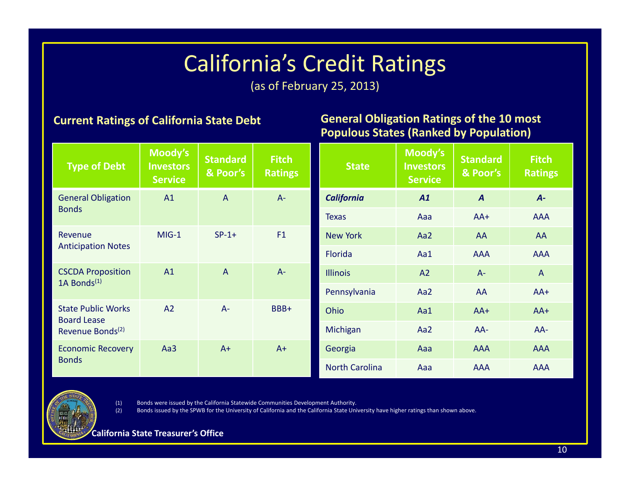# California's Credit Ratings

(as of February 25, 2013)

#### **Current Ratings of California State Debt**

#### **General Obligation Ratings of the 10 most Populous States (Ranked by Population)**

| <b>Type of Debt</b>                                                             | Moody's<br><b>Investors</b><br><b>Service</b> | <b>Standard</b><br>& Poor's | <b>Fitch</b><br><b>Ratings</b> | <b>State</b>          | Moody's<br><b>Investors</b><br><b>Service</b> | <b>Standard</b><br>& Poor's | <b>Fitch</b><br><b>Ratings</b> |
|---------------------------------------------------------------------------------|-----------------------------------------------|-----------------------------|--------------------------------|-----------------------|-----------------------------------------------|-----------------------------|--------------------------------|
| <b>General Obligation</b><br><b>Bonds</b>                                       | A1                                            | $\overline{A}$              | $A -$                          | <b>California</b>     | A1                                            | $\boldsymbol{A}$            | $A -$                          |
|                                                                                 |                                               |                             |                                | <b>Texas</b>          | Aaa                                           | $AA+$                       | <b>AAA</b>                     |
| Revenue<br><b>Anticipation Notes</b>                                            | $MIG-1$                                       | $SP-1+$                     | F1                             | <b>New York</b>       | Aa2                                           | AA                          | AA                             |
|                                                                                 |                                               |                             |                                | <b>Florida</b>        | Aa1                                           | <b>AAA</b>                  | <b>AAA</b>                     |
| <b>CSCDA Proposition</b><br>1A Bonds $(1)$                                      | A1                                            | $\overline{A}$              | $A -$                          | <b>Illinois</b>       | A2                                            | $A -$                       | $\overline{A}$                 |
|                                                                                 |                                               |                             |                                | Pennsylvania          | Aa2                                           | AA                          | $AA+$                          |
| <b>State Public Works</b><br><b>Board Lease</b><br>Revenue Bonds <sup>(2)</sup> | A2                                            | $A -$                       | BBB+                           | Ohio                  | Aa1                                           | $AA+$                       | $AA+$                          |
|                                                                                 |                                               |                             |                                | Michigan              | Aa2                                           | AA-                         | AA-                            |
| <b>Economic Recovery</b><br><b>Bonds</b>                                        | Aa3                                           | $A+$                        | $A+$                           | Georgia               | Aaa                                           | <b>AAA</b>                  | <b>AAA</b>                     |
|                                                                                 |                                               |                             |                                | <b>North Carolina</b> | Aaa                                           | <b>AAA</b>                  | <b>AAA</b>                     |

(1) Bonds were issued by the California Statewide Communities Development Authority.

(2) Bonds issued by the SPWB for the University of California and the California State University have higher ratings than shown above.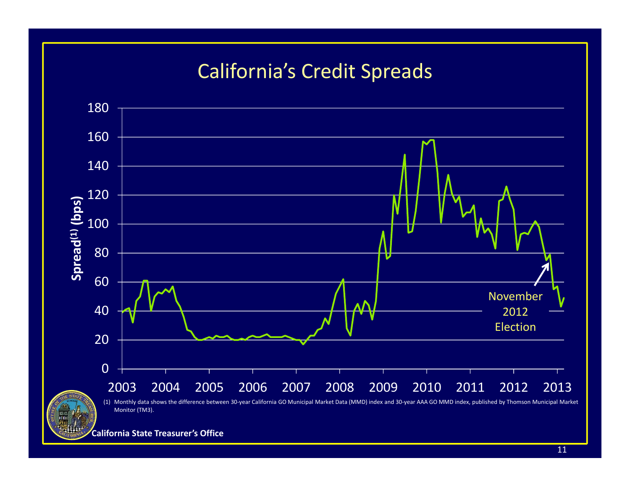## California's Credit Spreads